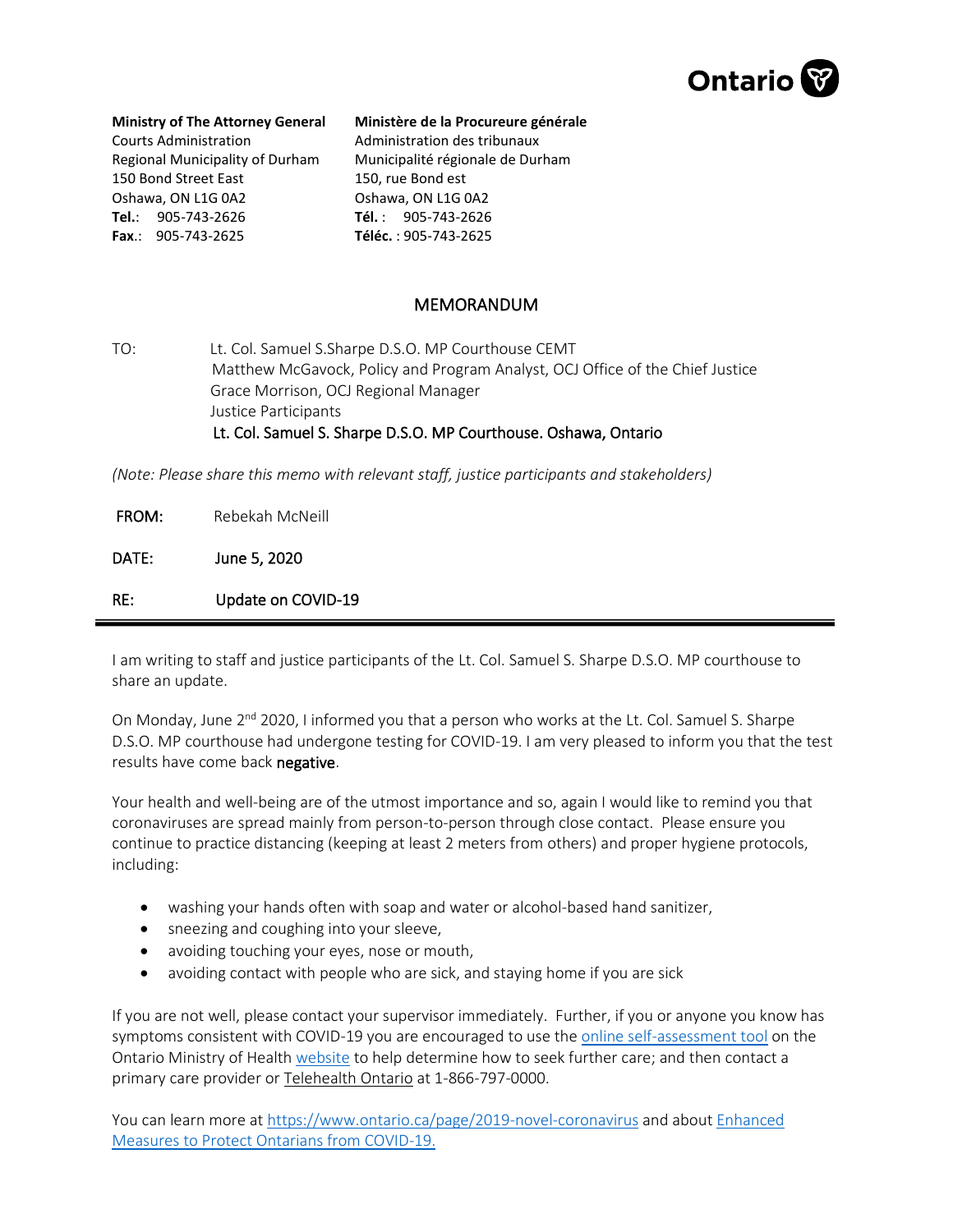

## **Ministry of The Attorney General**

Courts Administration Regional Municipality of Durham 150 Bond Street East Oshawa, ON L1G 0A2 **Tel.**: 905-743-2626 **Fax**.: 905-743-2625

## **Ministère de la Procureure générale**

Administration des tribunaux Municipalité régionale de Durham 150, rue Bond est Oshawa, ON L1G 0A2 **Tél.** : 905-743-2626 **Téléc.** : 905-743-2625

## MEMORANDUM

TO: Lt. Col. Samuel S.Sharpe D.S.O. MP Courthouse CEMT Matthew McGavock, Policy and Program Analyst, OCJ Office of the Chief Justice Grace Morrison, OCJ Regional Manager Justice Participants Lt. Col. Samuel S. Sharpe D.S.O. MP Courthouse. Oshawa, Ontario

*(Note: Please share this memo with relevant staff, justice participants and stakeholders)*

| FROM: | Rebekah McNeill    |
|-------|--------------------|
| DATE: | June 5, 2020       |
| RE:   | Update on COVID-19 |

I am writing to staff and justice participants of the Lt. Col. Samuel S. Sharpe D.S.O. MP courthouse to share an update.

On Monday, June 2<sup>nd</sup> 2020, I informed you that a person who works at the Lt. Col. Samuel S. Sharpe D.S.O. MP courthouse had undergone testing for COVID-19. I am very pleased to inform you that the test results have come back negative.

Your health and well-being are of the utmost importance and so, again I would like to remind you that coronaviruses are spread mainly from person-to-person through close contact. Please ensure you continue to practice distancing (keeping at least 2 meters from others) and proper hygiene protocols, including:

- washing your hands often with soap and water or alcohol-based hand sanitizer,
- sneezing and coughing into your sleeve,
- avoiding touching your eyes, nose or mouth,
- avoiding contact with people who are sick, and staying home if you are sick

If you are not well, please contact your supervisor immediately. Further, if you or anyone you know has symptoms consistent with COVID-19 you are encouraged to use th[e online self-assessment tool](https://www.ontario.ca/page/2019-novel-coronavirus-covid-19-self-assessment) on the Ontario Ministry of Health [website](https://www.ontario.ca/page/2019-novel-coronavirus) to help determine how to seek further care; and then contact a primary care provider o[r Telehealth Ontario](https://www.ontario.ca/page/get-medical-advice-telehealth-ontario) at 1-866-797-0000.

You can learn more a[t https://www.ontario.ca/page/2019-novel-coronavirus](https://www.ontario.ca/page/2019-novel-coronavirus) and abou[t Enhanced](https://news.ontario.ca/mohltc/en/2020/03/enhanced-measures-to-protect-ontarians-from-covid-19.html?utm_source=ondemand&utm_medium=email&utm_campaign=o)  [Measures to Protect Ontarians from COVID-19.](https://news.ontario.ca/mohltc/en/2020/03/enhanced-measures-to-protect-ontarians-from-covid-19.html?utm_source=ondemand&utm_medium=email&utm_campaign=o)